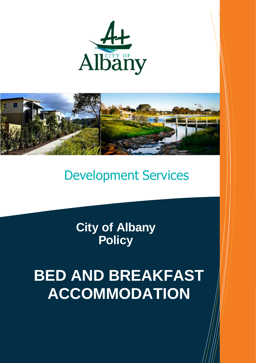



## Development Services

**City of Albany Policy**

# **BED AND BREAKFAST ACCOMMODATION**